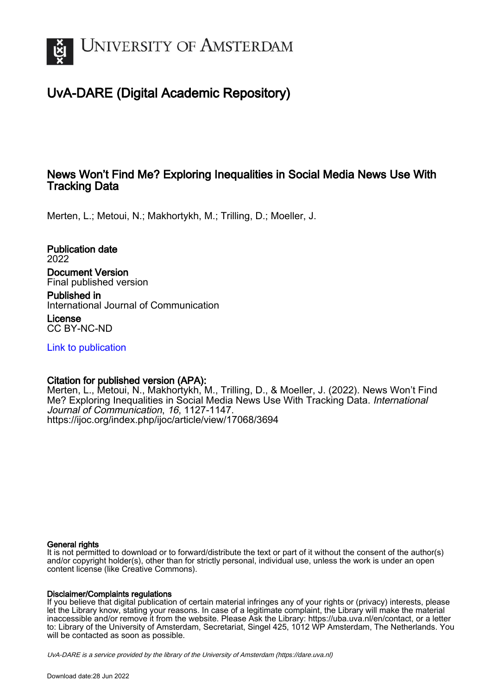

# UvA-DARE (Digital Academic Repository)

## News Won't Find Me? Exploring Inequalities in Social Media News Use With Tracking Data

Merten, L.; Metoui, N.; Makhortykh, M.; Trilling, D.; Moeller, J.

Publication date 2022 Document Version Final published version

Published in International Journal of Communication

License CC BY-NC-ND

[Link to publication](https://dare.uva.nl/personal/pure/en/publications/news-wont-find-me-exploring-inequalities-in-social-media-news-use-with-tracking-data(c0bc3068-3093-492b-b5d3-4b1662be5ec3).html)

## Citation for published version (APA):

Merten, L., Metoui, N., Makhortykh, M., Trilling, D., & Moeller, J. (2022). News Won't Find Me? Exploring Inequalities in Social Media News Use With Tracking Data. International Journal of Communication, 16, 1127-1147. <https://ijoc.org/index.php/ijoc/article/view/17068/3694>

## General rights

It is not permitted to download or to forward/distribute the text or part of it without the consent of the author(s) and/or copyright holder(s), other than for strictly personal, individual use, unless the work is under an open content license (like Creative Commons).

## Disclaimer/Complaints regulations

If you believe that digital publication of certain material infringes any of your rights or (privacy) interests, please let the Library know, stating your reasons. In case of a legitimate complaint, the Library will make the material inaccessible and/or remove it from the website. Please Ask the Library: https://uba.uva.nl/en/contact, or a letter to: Library of the University of Amsterdam, Secretariat, Singel 425, 1012 WP Amsterdam, The Netherlands. You will be contacted as soon as possible.

UvA-DARE is a service provided by the library of the University of Amsterdam (http*s*://dare.uva.nl)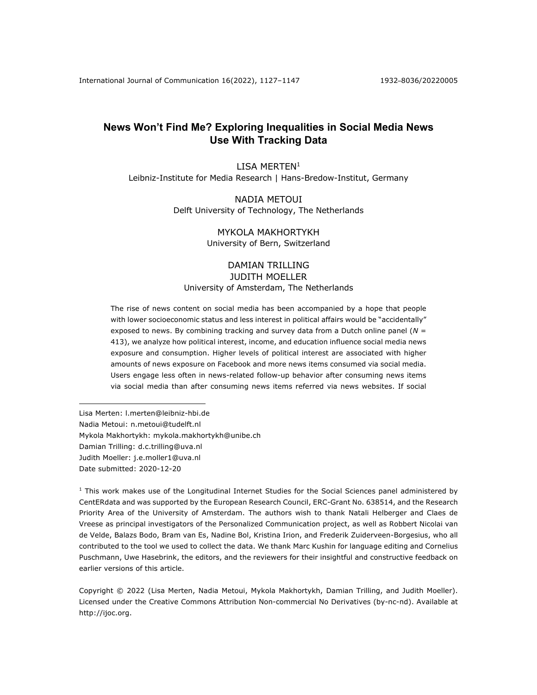International Journal of Communication 16(2022), 1127–1147 1932–8036/20220005

## **News Won't Find Me? Exploring Inequalities in Social Media News Use With Tracking Data**

#### $LISA$  MERTEN<sup>1</sup>

Leibniz-Institute for Media Research | Hans-Bredow-Institut, Germany

## NADIA METOUI Delft University of Technology, The Netherlands

#### MYKOLA MAKHORTYKH University of Bern, Switzerland

## DAMIAN TRILLING JUDITH MOELLER University of Amsterdam, The Netherlands

The rise of news content on social media has been accompanied by a hope that people with lower socioeconomic status and less interest in political affairs would be "accidentally" exposed to news. By combining tracking and survey data from a Dutch online panel (*N* = 413), we analyze how political interest, income, and education influence social media news exposure and consumption. Higher levels of political interest are associated with higher amounts of news exposure on Facebook and more news items consumed via social media. Users engage less often in news-related follow-up behavior after consuming news items via social media than after consuming news items referred via news websites. If social

Lisa Merten: l.merten@leibniz-hbi.de Nadia Metoui: n.metoui@tudelft.nl Mykola Makhortykh: mykola.makhortykh@unibe.ch Damian Trilling: d.c.trilling@uva.nl Judith Moeller: j.e.moller1@uva.nl Date submitted: 2020-12-20

 $1$  This work makes use of the Longitudinal Internet Studies for the Social Sciences panel administered by CentERdata and was supported by the European Research Council, ERC-Grant No. 638514, and the Research Priority Area of the University of Amsterdam. The authors wish to thank Natali Helberger and Claes de Vreese as principal investigators of the Personalized Communication project, as well as Robbert Nicolai van de Velde, Balazs Bodo, Bram van Es, Nadine Bol, Kristina Irion, and Frederik Zuiderveen-Borgesius, who all contributed to the tool we used to collect the data. We thank Marc Kushin for language editing and Cornelius Puschmann, Uwe Hasebrink, the editors, and the reviewers for their insightful and constructive feedback on earlier versions of this article.

Copyright © 2022 (Lisa Merten, Nadia Metoui, Mykola Makhortykh, Damian Trilling, and Judith Moeller). Licensed under the Creative Commons Attribution Non-commercial No Derivatives (by-nc-nd). Available at http://ijoc.org.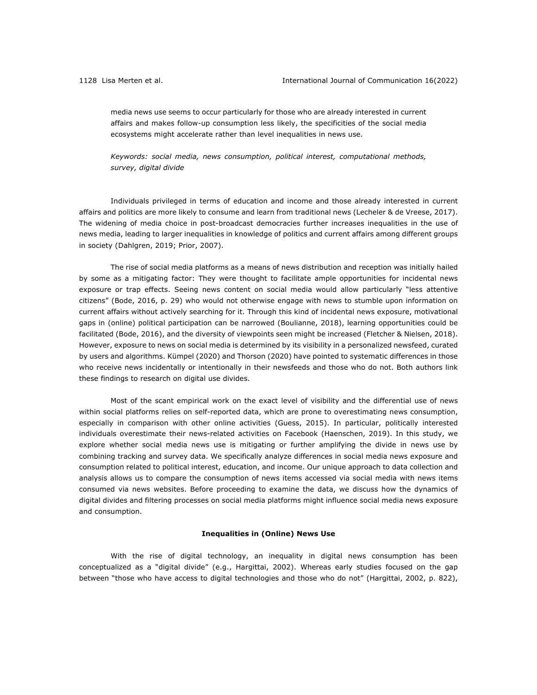media news use seems to occur particularly for those who are already interested in current affairs and makes follow-up consumption less likely, the specificities of the social media ecosystems might accelerate rather than level inequalities in news use.

*Keywords: social media, news consumption, political interest, computational methods, survey, digital divide*

Individuals privileged in terms of education and income and those already interested in current affairs and politics are more likely to consume and learn from traditional news (Lecheler & de Vreese, 2017). The widening of media choice in post-broadcast democracies further increases inequalities in the use of news media, leading to larger inequalities in knowledge of politics and current affairs among different groups in society (Dahlgren, 2019; Prior, 2007).

The rise of social media platforms as a means of news distribution and reception was initially hailed by some as a mitigating factor: They were thought to facilitate ample opportunities for incidental news exposure or trap effects. Seeing news content on social media would allow particularly "less attentive citizens" (Bode, 2016, p. 29) who would not otherwise engage with news to stumble upon information on current affairs without actively searching for it. Through this kind of incidental news exposure, motivational gaps in (online) political participation can be narrowed (Boulianne, 2018), learning opportunities could be facilitated (Bode, 2016), and the diversity of viewpoints seen might be increased (Fletcher & Nielsen, 2018). However, exposure to news on social media is determined by its visibility in a personalized newsfeed, curated by users and algorithms. Kümpel (2020) and Thorson (2020) have pointed to systematic differences in those who receive news incidentally or intentionally in their newsfeeds and those who do not. Both authors link these findings to research on digital use divides.

Most of the scant empirical work on the exact level of visibility and the differential use of news within social platforms relies on self-reported data, which are prone to overestimating news consumption, especially in comparison with other online activities (Guess, 2015). In particular, politically interested individuals overestimate their news-related activities on Facebook (Haenschen, 2019). In this study, we explore whether social media news use is mitigating or further amplifying the divide in news use by combining tracking and survey data. We specifically analyze differences in social media news exposure and consumption related to political interest, education, and income. Our unique approach to data collection and analysis allows us to compare the consumption of news items accessed via social media with news items consumed via news websites. Before proceeding to examine the data, we discuss how the dynamics of digital divides and filtering processes on social media platforms might influence social media news exposure and consumption.

#### **Inequalities in (Online) News Use**

With the rise of digital technology, an inequality in digital news consumption has been conceptualized as a "digital divide" (e.g., Hargittai, 2002). Whereas early studies focused on the gap between "those who have access to digital technologies and those who do not" (Hargittai, 2002, p. 822),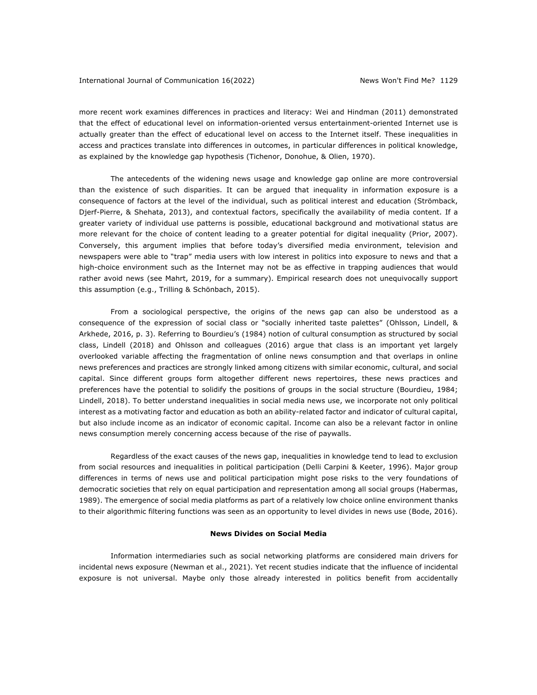more recent work examines differences in practices and literacy: Wei and Hindman (2011) demonstrated that the effect of educational level on information-oriented versus entertainment-oriented Internet use is actually greater than the effect of educational level on access to the Internet itself. These inequalities in access and practices translate into differences in outcomes, in particular differences in political knowledge, as explained by the knowledge gap hypothesis (Tichenor, Donohue, & Olien, 1970).

The antecedents of the widening news usage and knowledge gap online are more controversial than the existence of such disparities. It can be argued that inequality in information exposure is a consequence of factors at the level of the individual, such as political interest and education (Strömback, Djerf-Pierre, & Shehata, 2013), and contextual factors, specifically the availability of media content. If a greater variety of individual use patterns is possible, educational background and motivational status are more relevant for the choice of content leading to a greater potential for digital inequality (Prior, 2007). Conversely, this argument implies that before today's diversified media environment, television and newspapers were able to "trap" media users with low interest in politics into exposure to news and that a high-choice environment such as the Internet may not be as effective in trapping audiences that would rather avoid news (see Mahrt, 2019, for a summary). Empirical research does not unequivocally support this assumption (e.g., Trilling & Schönbach, 2015).

From a sociological perspective, the origins of the news gap can also be understood as a consequence of the expression of social class or "socially inherited taste palettes" (Ohlsson, Lindell, & Arkhede, 2016, p. 3). Referring to Bourdieu's (1984) notion of cultural consumption as structured by social class, Lindell (2018) and Ohlsson and colleagues (2016) argue that class is an important yet largely overlooked variable affecting the fragmentation of online news consumption and that overlaps in online news preferences and practices are strongly linked among citizens with similar economic, cultural, and social capital. Since different groups form altogether different news repertoires, these news practices and preferences have the potential to solidify the positions of groups in the social structure (Bourdieu, 1984; Lindell, 2018). To better understand inequalities in social media news use, we incorporate not only political interest as a motivating factor and education as both an ability-related factor and indicator of cultural capital, but also include income as an indicator of economic capital. Income can also be a relevant factor in online news consumption merely concerning access because of the rise of paywalls.

Regardless of the exact causes of the news gap, inequalities in knowledge tend to lead to exclusion from social resources and inequalities in political participation (Delli Carpini & Keeter, 1996). Major group differences in terms of news use and political participation might pose risks to the very foundations of democratic societies that rely on equal participation and representation among all social groups (Habermas, 1989). The emergence of social media platforms as part of a relatively low choice online environment thanks to their algorithmic filtering functions was seen as an opportunity to level divides in news use (Bode, 2016).

#### **News Divides on Social Media**

Information intermediaries such as social networking platforms are considered main drivers for incidental news exposure (Newman et al., 2021). Yet recent studies indicate that the influence of incidental exposure is not universal. Maybe only those already interested in politics benefit from accidentally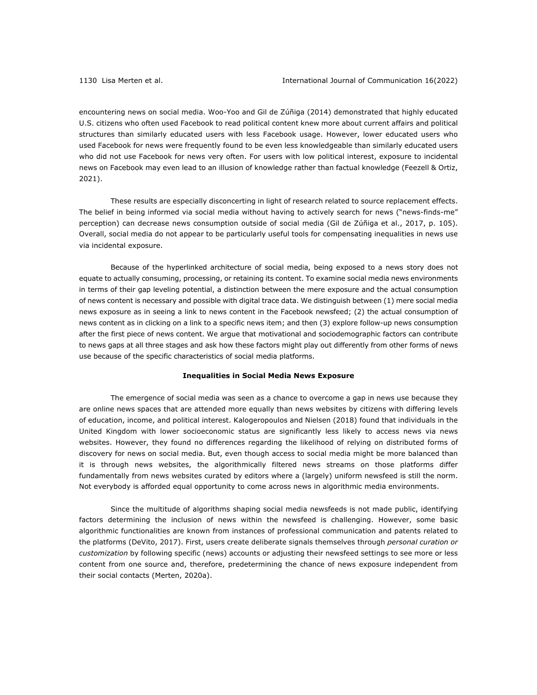encountering news on social media. Woo-Yoo and Gil de Zúñiga (2014) demonstrated that highly educated U.S. citizens who often used Facebook to read political content knew more about current affairs and political structures than similarly educated users with less Facebook usage. However, lower educated users who used Facebook for news were frequently found to be even less knowledgeable than similarly educated users who did not use Facebook for news very often. For users with low political interest, exposure to incidental news on Facebook may even lead to an illusion of knowledge rather than factual knowledge (Feezell & Ortiz, 2021).

These results are especially disconcerting in light of research related to source replacement effects. The belief in being informed via social media without having to actively search for news ("news-finds-me" perception) can decrease news consumption outside of social media (Gil de Zúñiga et al., 2017, p. 105). Overall, social media do not appear to be particularly useful tools for compensating inequalities in news use via incidental exposure.

Because of the hyperlinked architecture of social media, being exposed to a news story does not equate to actually consuming, processing, or retaining its content. To examine social media news environments in terms of their gap leveling potential, a distinction between the mere exposure and the actual consumption of news content is necessary and possible with digital trace data. We distinguish between (1) mere social media news exposure as in seeing a link to news content in the Facebook newsfeed; (2) the actual consumption of news content as in clicking on a link to a specific news item; and then (3) explore follow-up news consumption after the first piece of news content. We argue that motivational and sociodemographic factors can contribute to news gaps at all three stages and ask how these factors might play out differently from other forms of news use because of the specific characteristics of social media platforms.

#### **Inequalities in Social Media News Exposure**

The emergence of social media was seen as a chance to overcome a gap in news use because they are online news spaces that are attended more equally than news websites by citizens with differing levels of education, income, and political interest. Kalogeropoulos and Nielsen (2018) found that individuals in the United Kingdom with lower socioeconomic status are significantly less likely to access news via news websites. However, they found no differences regarding the likelihood of relying on distributed forms of discovery for news on social media. But, even though access to social media might be more balanced than it is through news websites, the algorithmically filtered news streams on those platforms differ fundamentally from news websites curated by editors where a (largely) uniform newsfeed is still the norm. Not everybody is afforded equal opportunity to come across news in algorithmic media environments.

Since the multitude of algorithms shaping social media newsfeeds is not made public, identifying factors determining the inclusion of news within the newsfeed is challenging. However, some basic algorithmic functionalities are known from instances of professional communication and patents related to the platforms (DeVito, 2017). First, users create deliberate signals themselves through *personal curation or customization* by following specific (news) accounts or adjusting their newsfeed settings to see more or less content from one source and, therefore, predetermining the chance of news exposure independent from their social contacts (Merten, 2020a).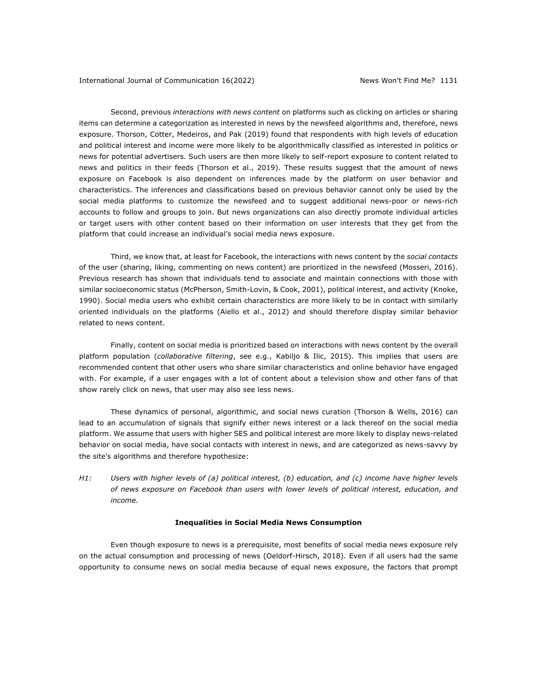Second, previous *interactions with news content* on platforms such as clicking on articles or sharing items can determine a categorization as interested in news by the newsfeed algorithms and, therefore, news exposure. Thorson, Cotter, Medeiros, and Pak (2019) found that respondents with high levels of education and political interest and income were more likely to be algorithmically classified as interested in politics or news for potential advertisers. Such users are then more likely to self-report exposure to content related to news and politics in their feeds (Thorson et al., 2019). These results suggest that the amount of news exposure on Facebook is also dependent on inferences made by the platform on user behavior and characteristics. The inferences and classifications based on previous behavior cannot only be used by the social media platforms to customize the newsfeed and to suggest additional news-poor or news-rich accounts to follow and groups to join. But news organizations can also directly promote individual articles or target users with other content based on their information on user interests that they get from the platform that could increase an individual's social media news exposure.

Third, we know that, at least for Facebook, the interactions with news content by the *social contacts* of the user (sharing, liking, commenting on news content) are prioritized in the newsfeed (Mosseri, 2016). Previous research has shown that individuals tend to associate and maintain connections with those with similar socioeconomic status (McPherson, Smith-Lovin, & Cook, 2001), political interest, and activity (Knoke, 1990). Social media users who exhibit certain characteristics are more likely to be in contact with similarly oriented individuals on the platforms (Aiello et al., 2012) and should therefore display similar behavior related to news content.

Finally, content on social media is prioritized based on interactions with news content by the overall platform population (*collaborative filtering*, see e.g., Kabiljo & Ilic, 2015). This implies that users are recommended content that other users who share similar characteristics and online behavior have engaged with. For example, if a user engages with a lot of content about a television show and other fans of that show rarely click on news, that user may also see less news.

These dynamics of personal, algorithmic, and social news curation (Thorson & Wells, 2016) can lead to an accumulation of signals that signify either news interest or a lack thereof on the social media platform. We assume that users with higher SES and political interest are more likely to display news-related behavior on social media, have social contacts with interest in news, and are categorized as news-savvy by the site's algorithms and therefore hypothesize:

*H1: Users with higher levels of (a) political interest, (b) education, and (c) income have higher levels of news exposure on Facebook than users with lower levels of political interest, education, and income.*

#### **Inequalities in Social Media News Consumption**

Even though exposure to news is a prerequisite, most benefits of social media news exposure rely on the actual consumption and processing of news (Oeldorf-Hirsch, 2018). Even if all users had the same opportunity to consume news on social media because of equal news exposure, the factors that prompt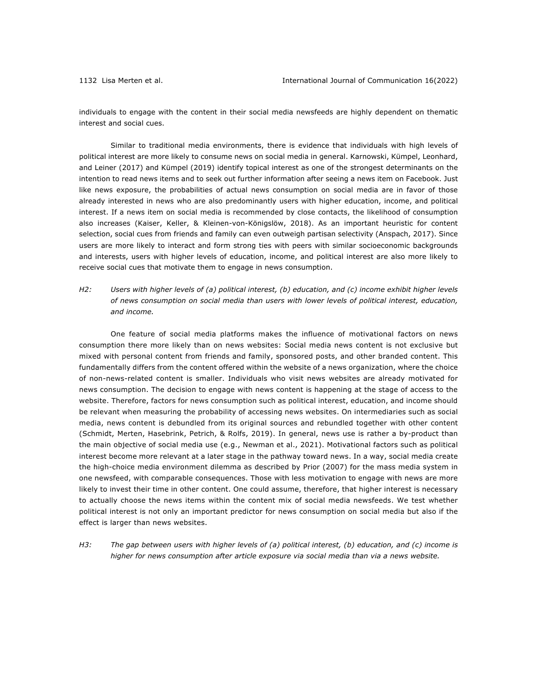individuals to engage with the content in their social media newsfeeds are highly dependent on thematic interest and social cues.

Similar to traditional media environments, there is evidence that individuals with high levels of political interest are more likely to consume news on social media in general. Karnowski, Kümpel, Leonhard, and Leiner (2017) and Kümpel (2019) identify topical interest as one of the strongest determinants on the intention to read news items and to seek out further information after seeing a news item on Facebook. Just like news exposure, the probabilities of actual news consumption on social media are in favor of those already interested in news who are also predominantly users with higher education, income, and political interest. If a news item on social media is recommended by close contacts, the likelihood of consumption also increases (Kaiser, Keller, & Kleinen-von-Königslöw, 2018). As an important heuristic for content selection, social cues from friends and family can even outweigh partisan selectivity (Anspach, 2017). Since users are more likely to interact and form strong ties with peers with similar socioeconomic backgrounds and interests, users with higher levels of education, income, and political interest are also more likely to receive social cues that motivate them to engage in news consumption.

*H2: Users with higher levels of (a) political interest, (b) education, and (c) income exhibit higher levels of news consumption on social media than users with lower levels of political interest, education, and income.*

One feature of social media platforms makes the influence of motivational factors on news consumption there more likely than on news websites: Social media news content is not exclusive but mixed with personal content from friends and family, sponsored posts, and other branded content. This fundamentally differs from the content offered within the website of a news organization, where the choice of non-news-related content is smaller. Individuals who visit news websites are already motivated for news consumption. The decision to engage with news content is happening at the stage of access to the website. Therefore, factors for news consumption such as political interest, education, and income should be relevant when measuring the probability of accessing news websites. On intermediaries such as social media, news content is debundled from its original sources and rebundled together with other content (Schmidt, Merten, Hasebrink, Petrich, & Rolfs, 2019). In general, news use is rather a by-product than the main objective of social media use (e.g., Newman et al., 2021). Motivational factors such as political interest become more relevant at a later stage in the pathway toward news. In a way, social media create the high-choice media environment dilemma as described by Prior (2007) for the mass media system in one newsfeed, with comparable consequences. Those with less motivation to engage with news are more likely to invest their time in other content. One could assume, therefore, that higher interest is necessary to actually choose the news items within the content mix of social media newsfeeds. We test whether political interest is not only an important predictor for news consumption on social media but also if the effect is larger than news websites.

*H3: The gap between users with higher levels of (a) political interest, (b) education, and (c) income is higher for news consumption after article exposure via social media than via a news website.*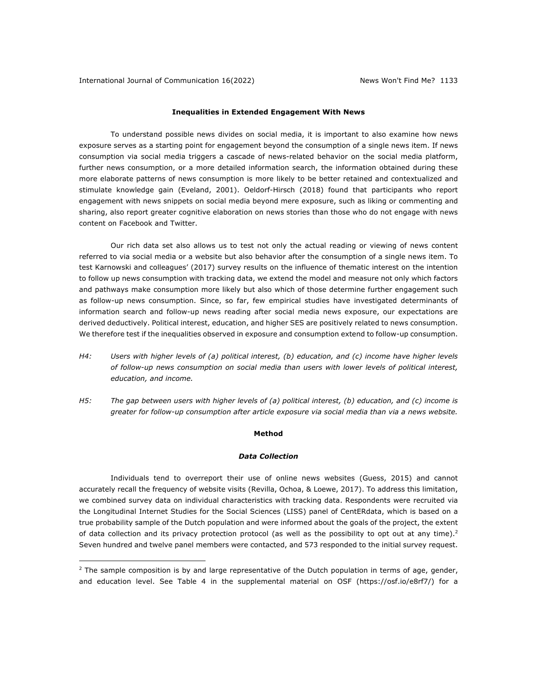International Journal of Communication 16(2022) News Won't Find Me? 1133

#### **Inequalities in Extended Engagement With News**

To understand possible news divides on social media, it is important to also examine how news exposure serves as a starting point for engagement beyond the consumption of a single news item. If news consumption via social media triggers a cascade of news-related behavior on the social media platform, further news consumption, or a more detailed information search, the information obtained during these more elaborate patterns of news consumption is more likely to be better retained and contextualized and stimulate knowledge gain (Eveland, 2001). Oeldorf-Hirsch (2018) found that participants who report engagement with news snippets on social media beyond mere exposure, such as liking or commenting and sharing, also report greater cognitive elaboration on news stories than those who do not engage with news content on Facebook and Twitter.

Our rich data set also allows us to test not only the actual reading or viewing of news content referred to via social media or a website but also behavior after the consumption of a single news item. To test Karnowski and colleagues' (2017) survey results on the influence of thematic interest on the intention to follow up news consumption with tracking data, we extend the model and measure not only which factors and pathways make consumption more likely but also which of those determine further engagement such as follow-up news consumption. Since, so far, few empirical studies have investigated determinants of information search and follow-up news reading after social media news exposure, our expectations are derived deductively. Political interest, education, and higher SES are positively related to news consumption. We therefore test if the inequalities observed in exposure and consumption extend to follow-up consumption.

- *H4: Users with higher levels of (a) political interest, (b) education, and (c) income have higher levels of follow-up news consumption on social media than users with lower levels of political interest, education, and income.*
- *H5: The gap between users with higher levels of (a) political interest, (b) education, and (c) income is greater for follow-up consumption after article exposure via social media than via a news website.*

#### **Method**

#### *Data Collection*

Individuals tend to overreport their use of online news websites (Guess, 2015) and cannot accurately recall the frequency of website visits (Revilla, Ochoa, & Loewe, 2017). To address this limitation, we combined survey data on individual characteristics with tracking data. Respondents were recruited via the Longitudinal Internet Studies for the Social Sciences (LISS) panel of CentERdata, which is based on a true probability sample of the Dutch population and were informed about the goals of the project, the extent of data collection and its privacy protection protocol (as well as the possibility to opt out at any time).<sup>2</sup> Seven hundred and twelve panel members were contacted, and 573 responded to the initial survey request.

 $<sup>2</sup>$  The sample composition is by and large representative of the Dutch population in terms of age, gender,</sup> and education level. See Table 4 in the supplemental material on OSF (https://osf.io/e8rf7/) for a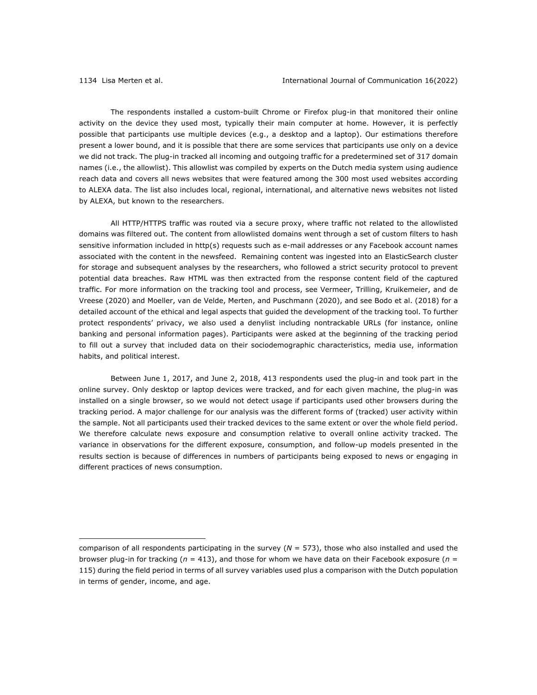The respondents installed a custom-built Chrome or Firefox plug-in that monitored their online activity on the device they used most, typically their main computer at home. However, it is perfectly possible that participants use multiple devices (e.g., a desktop and a laptop). Our estimations therefore present a lower bound, and it is possible that there are some services that participants use only on a device we did not track. The plug-in tracked all incoming and outgoing traffic for a predetermined set of 317 domain names (i.e., the allowlist). This allowlist was compiled by experts on the Dutch media system using audience reach data and covers all news websites that were featured among the 300 most used websites according to ALEXA data. The list also includes local, regional, international, and alternative news websites not listed by ALEXA, but known to the researchers.

All HTTP/HTTPS traffic was routed via a secure proxy, where traffic not related to the allowlisted domains was filtered out. The content from allowlisted domains went through a set of custom filters to hash sensitive information included in http(s) requests such as e-mail addresses or any Facebook account names associated with the content in the newsfeed. Remaining content was ingested into an ElasticSearch cluster for storage and subsequent analyses by the researchers, who followed a strict security protocol to prevent potential data breaches. Raw HTML was then extracted from the response content field of the captured traffic. For more information on the tracking tool and process, see Vermeer, Trilling, Kruikemeier, and de Vreese (2020) and Moeller, van de Velde, Merten, and Puschmann (2020), and see Bodo et al. (2018) for a detailed account of the ethical and legal aspects that guided the development of the tracking tool. To further protect respondents' privacy, we also used a denylist including nontrackable URLs (for instance, online banking and personal information pages). Participants were asked at the beginning of the tracking period to fill out a survey that included data on their sociodemographic characteristics, media use, information habits, and political interest.

Between June 1, 2017, and June 2, 2018, 413 respondents used the plug-in and took part in the online survey. Only desktop or laptop devices were tracked, and for each given machine, the plug-in was installed on a single browser, so we would not detect usage if participants used other browsers during the tracking period. A major challenge for our analysis was the different forms of (tracked) user activity within the sample. Not all participants used their tracked devices to the same extent or over the whole field period. We therefore calculate news exposure and consumption relative to overall online activity tracked. The variance in observations for the different exposure, consumption, and follow-up models presented in the results section is because of differences in numbers of participants being exposed to news or engaging in different practices of news consumption.

comparison of all respondents participating in the survey (*N* = 573), those who also installed and used the browser plug-in for tracking (*n* = 413), and those for whom we have data on their Facebook exposure (*n* = 115) during the field period in terms of all survey variables used plus a comparison with the Dutch population in terms of gender, income, and age.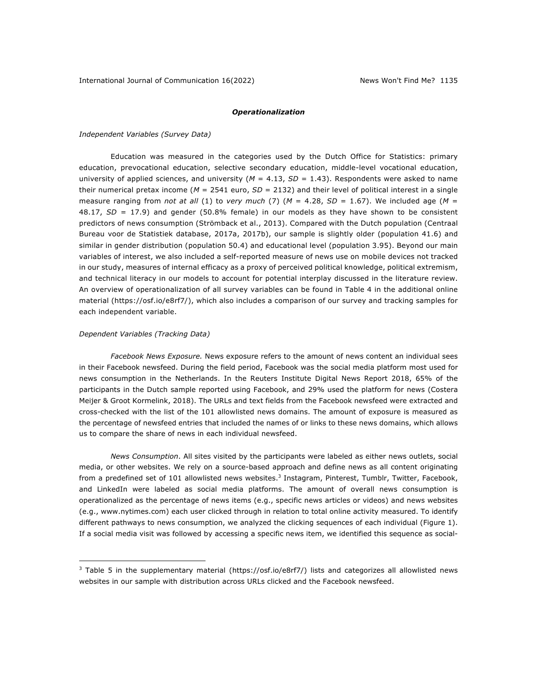#### *Operationalization*

#### *Independent Variables (Survey Data)*

Education was measured in the categories used by the Dutch Office for Statistics: primary education, prevocational education, selective secondary education, middle-level vocational education, university of applied sciences, and university ( $M = 4.13$ ,  $SD = 1.43$ ). Respondents were asked to name their numerical pretax income (*M* = 2541 euro, *SD* = 2132) and their level of political interest in a single measure ranging from *not at all* (1) to *very much* (7) (*M* = 4.28, *SD* = 1.67). We included age (*M* = 48.17, *SD* = 17.9) and gender (50.8% female) in our models as they have shown to be consistent predictors of news consumption (Strömback et al., 2013). Compared with the Dutch population (Centraal Bureau voor de Statistiek database, 2017a, 2017b), our sample is slightly older (population 41.6) and similar in gender distribution (population 50.4) and educational level (population 3.95). Beyond our main variables of interest, we also included a self-reported measure of news use on mobile devices not tracked in our study, measures of internal efficacy as a proxy of perceived political knowledge, political extremism, and technical literacy in our models to account for potential interplay discussed in the literature review. An overview of operationalization of all survey variables can be found in Table 4 in the additional online material (https://osf.io/e8rf7/), which also includes a comparison of our survey and tracking samples for each independent variable.

#### *Dependent Variables (Tracking Data)*

*Facebook News Exposure.* News exposure refers to the amount of news content an individual sees in their Facebook newsfeed. During the field period, Facebook was the social media platform most used for news consumption in the Netherlands. In the Reuters Institute Digital News Report 2018, 65% of the participants in the Dutch sample reported using Facebook, and 29% used the platform for news (Costera Meijer & Groot Kormelink, 2018). The URLs and text fields from the Facebook newsfeed were extracted and cross-checked with the list of the 101 allowlisted news domains. The amount of exposure is measured as the percentage of newsfeed entries that included the names of or links to these news domains, which allows us to compare the share of news in each individual newsfeed.

*News Consumption*. All sites visited by the participants were labeled as either news outlets, social media, or other websites. We rely on a source-based approach and define news as all content originating from a predefined set of 101 allowlisted news websites.<sup>3</sup> Instagram, Pinterest, Tumblr, Twitter, Facebook, and LinkedIn were labeled as social media platforms. The amount of overall news consumption is operationalized as the percentage of news items (e.g., specific news articles or videos) and news websites (e.g., www.nytimes.com) each user clicked through in relation to total online activity measured. To identify different pathways to news consumption, we analyzed the clicking sequences of each individual (Figure 1). If a social media visit was followed by accessing a specific news item, we identified this sequence as social-

 $3$  Table 5 in the supplementary material (https://osf.io/e8rf7/) lists and categorizes all allowlisted news websites in our sample with distribution across URLs clicked and the Facebook newsfeed.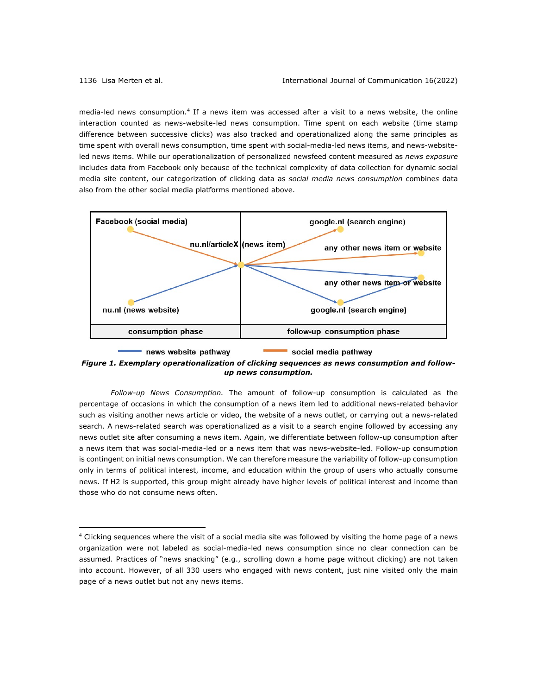media-led news consumption.<sup>4</sup> If a news item was accessed after a visit to a news website, the online interaction counted as news-website-led news consumption. Time spent on each website (time stamp difference between successive clicks) was also tracked and operationalized along the same principles as time spent with overall news consumption, time spent with social-media-led news items, and news-websiteled news items. While our operationalization of personalized newsfeed content measured as *news exposure* includes data from Facebook only because of the technical complexity of data collection for dynamic social media site content, our categorization of clicking data as *social media news consumption* combine*s* data also from the other social media platforms mentioned above.



*Figure 1. Exemplary operationalization of clicking sequences as news consumption and followup news consumption.*

*Follow-up News Consumption.* The amount of follow-up consumption is calculated as the percentage of occasions in which the consumption of a news item led to additional news-related behavior such as visiting another news article or video, the website of a news outlet, or carrying out a news-related search. A news-related search was operationalized as a visit to a search engine followed by accessing any news outlet site after consuming a news item. Again, we differentiate between follow-up consumption after a news item that was social-media-led or a news item that was news-website-led. Follow-up consumption is contingent on initial news consumption. We can therefore measure the variability of follow-up consumption only in terms of political interest, income, and education within the group of users who actually consume news. If H2 is supported, this group might already have higher levels of political interest and income than those who do not consume news often.

<sup>4</sup> Clicking sequences where the visit of a social media site was followed by visiting the home page of a news organization were not labeled as social-media-led news consumption since no clear connection can be assumed. Practices of "news snacking" (e.g., scrolling down a home page without clicking) are not taken into account. However, of all 330 users who engaged with news content, just nine visited only the main page of a news outlet but not any news items.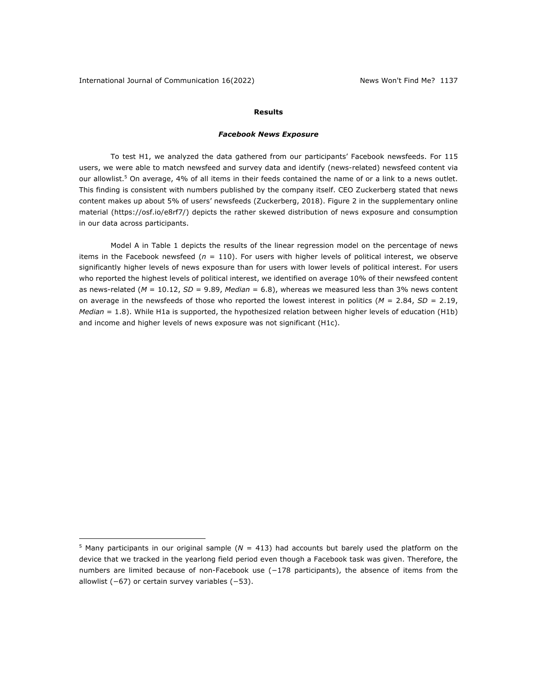#### **Results**

#### *Facebook News Exposure*

To test H1, we analyzed the data gathered from our participants' Facebook newsfeeds. For 115 users, we were able to match newsfeed and survey data and identify (news-related) newsfeed content via our allowlist.<sup>5</sup> On average, 4% of all items in their feeds contained the name of or a link to a news outlet. This finding is consistent with numbers published by the company itself. CEO Zuckerberg stated that news content makes up about 5% of users' newsfeeds (Zuckerberg, 2018). Figure 2 in the supplementary online material (https://osf.io/e8rf7/) depicts the rather skewed distribution of news exposure and consumption in our data across participants.

Model A in Table 1 depicts the results of the linear regression model on the percentage of news items in the Facebook newsfeed (*n* = 110). For users with higher levels of political interest, we observe significantly higher levels of news exposure than for users with lower levels of political interest. For users who reported the highest levels of political interest, we identified on average 10% of their newsfeed content as news-related (*M* = 10.12, *SD* = 9.89, *Median* = 6.8), whereas we measured less than 3% news content on average in the newsfeeds of those who reported the lowest interest in politics ( $M = 2.84$ ,  $SD = 2.19$ , *Median* = 1.8). While H1a is supported, the hypothesized relation between higher levels of education (H1b) and income and higher levels of news exposure was not significant (H1c).

<sup>5</sup> Many participants in our original sample (*N* = 413) had accounts but barely used the platform on the device that we tracked in the yearlong field period even though a Facebook task was given. Therefore, the numbers are limited because of non-Facebook use (-178 participants), the absence of items from the allowlist (−67) or certain survey variables (−53).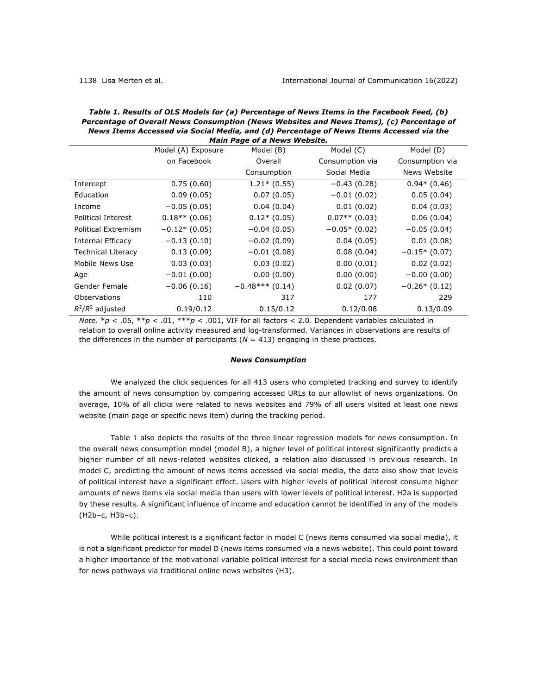| Table 1. Results of OLS Models for (a) Percentage of News Items in the Facebook Feed, (b) |
|-------------------------------------------------------------------------------------------|
| Percentage of Overall News Consumption (News Websites and News Items), (c) Percentage of  |
| News Items Accessed via Social Media, and (d) Percentage of News Items Accessed via the   |
| <b>Main Page of a News Website.</b>                                                       |

|                            | Model (A) Exposure | Model (B)         | Model (C)       | Model (D)       |
|----------------------------|--------------------|-------------------|-----------------|-----------------|
|                            | on Facebook        | Overall           | Consumption via | Consumption via |
|                            |                    | Consumption       | Social Media    | News Website    |
| Intercept                  | 0.75(0.60)         | $1.21*(0.55)$     | $-0.43(0.28)$   | $0.94*(0.46)$   |
| Education                  | 0.09(0.05)         | 0.07(0.05)        | $-0.01(0.02)$   | 0.05(0.04)      |
| Income                     | $-0.05(0.05)$      | 0.04(0.04)        | 0.01(0.02)      | 0.04(0.03)      |
| <b>Political Interest</b>  | $0.18**$ (0.06)    | $0.12*(0.05)$     | $0.07**$ (0.03) | 0.06(0.04)      |
| <b>Political Extremism</b> | $-0.12*(0.05)$     | $-0.04(0.05)$     | $-0.05*$ (0.02) | $-0.05(0.04)$   |
| <b>Internal Efficacy</b>   | $-0.13(0.10)$      | $-0.02(0.09)$     | 0.04(0.05)      | 0.01(0.08)      |
| <b>Technical Literacy</b>  | 0.13(0.09)         | $-0.01(0.08)$     | 0.08(0.04)      | $-0.15*(0.07)$  |
| Mobile News Use            | 0.03(0.03)         | 0.03(0.02)        | 0.00(0.01)      | 0.02(0.02)      |
| Age                        | $-0.01(0.00)$      | 0.00(0.00)        | 0.00(0.00)      | $-0.00(0.00)$   |
| Gender Female              | $-0.06(0.16)$      | $-0.48***$ (0.14) | 0.02(0.07)      | $-0.26*(0.12)$  |
| Observations               | 110                | 317               | 177             | 229             |
| $R^2/R^2$ adjusted         | 0.19/0.12          | 0.15/0.12         | 0.12/0.08       | 0.13/0.09       |

*Note.*  $* p < .05$ ,  $* p < .01$ ,  $** p < .001$ , VIF for all factors < 2.0. Dependent variables calculated in relation to overall online activity measured and log-transformed. Variances in observations are results of the differences in the number of participants  $(N = 413)$  engaging in these practices.

#### *News Consumption*

We analyzed the click sequences for all 413 users who completed tracking and survey to identify the amount of news consumption by comparing accessed URLs to our allowlist of news organizations. On average, 10% of all clicks were related to news websites and 79% of all users visited at least one news website (main page or specific news item) during the tracking period.

Table 1 also depicts the results of the three linear regression models for news consumption. In the overall news consumption model (model B), a higher level of political interest significantly predicts a higher number of all news-related websites clicked, a relation also discussed in previous research. In model C, predicting the amount of news items accessed via social media, the data also show that levels of political interest have a significant effect. Users with higher levels of political interest consume higher amounts of news items via social media than users with lower levels of political interest. H2a is supported by these results. A significant influence of income and education cannot be identified in any of the models (H2b–c, H3b–c).

While political interest is a significant factor in model C (news items consumed via social media), it is not a significant predictor for model D (news items consumed via a news website). This could point toward a higher importance of the motivational variable political interest for a social media news environment than for news pathways via traditional online news websites (H3).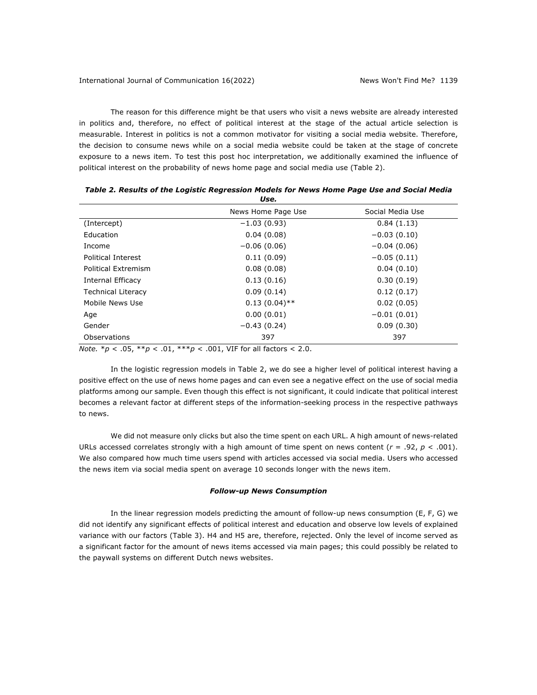The reason for this difference might be that users who visit a news website are already interested in politics and, therefore, no effect of political interest at the stage of the actual article selection is measurable. Interest in politics is not a common motivator for visiting a social media website. Therefore, the decision to consume news while on a social media website could be taken at the stage of concrete exposure to a news item. To test this post hoc interpretation, we additionally examined the influence of political interest on the probability of news home page and social media use (Table 2).

|                           | use.               |                  |  |
|---------------------------|--------------------|------------------|--|
|                           | News Home Page Use | Social Media Use |  |
| (Intercept)               | $-1.03(0.93)$      | 0.84(1.13)       |  |
| Education                 | 0.04(0.08)         | $-0.03(0.10)$    |  |
| Income                    | $-0.06(0.06)$      | $-0.04(0.06)$    |  |
| Political Interest        | 0.11(0.09)         | $-0.05(0.11)$    |  |
| Political Extremism       | 0.08(0.08)         | 0.04(0.10)       |  |
| Internal Efficacy         | 0.13(0.16)         | 0.30(0.19)       |  |
| <b>Technical Literacy</b> | 0.09(0.14)         | 0.12(0.17)       |  |
| Mobile News Use           | $0.13(0.04)$ **    | 0.02(0.05)       |  |
| Age                       | 0.00(0.01)         | $-0.01(0.01)$    |  |
| Gender                    | $-0.43(0.24)$      | 0.09(0.30)       |  |
| Observations              | 397                | 397              |  |
|                           |                    |                  |  |

*Table 2. Results of the Logistic Regression Models for News Home Page Use and Social Media Use.*

*Note.*  $* p < .05$ ,  $* p < .01$ ,  $* * p < .001$ , VIF for all factors < 2.0.

In the logistic regression models in Table 2, we do see a higher level of political interest having a positive effect on the use of news home pages and can even see a negative effect on the use of social media platforms among our sample. Even though this effect is not significant, it could indicate that political interest becomes a relevant factor at different steps of the information-seeking process in the respective pathways to news.

We did not measure only clicks but also the time spent on each URL. A high amount of news-related URLs accessed correlates strongly with a high amount of time spent on news content  $(r = .92, p < .001)$ . We also compared how much time users spend with articles accessed via social media. Users who accessed the news item via social media spent on average 10 seconds longer with the news item.

#### *Follow-up News Consumption*

In the linear regression models predicting the amount of follow-up news consumption (E, F, G) we did not identify any significant effects of political interest and education and observe low levels of explained variance with our factors (Table 3). H4 and H5 are, therefore, rejected. Only the level of income served as a significant factor for the amount of news items accessed via main pages; this could possibly be related to the paywall systems on different Dutch news websites.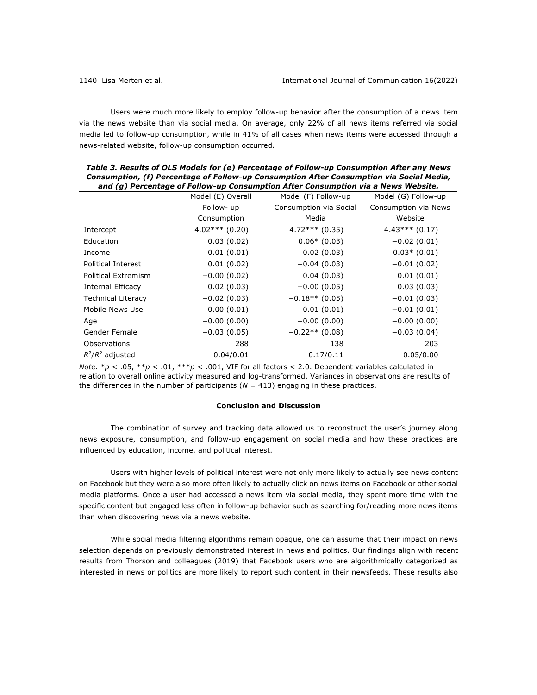Users were much more likely to employ follow-up behavior after the consumption of a news item via the news website than via social media. On average, only 22% of all news items referred via social media led to follow-up consumption, while in 41% of all cases when news items were accessed through a news-related website, follow-up consumption occurred.

| \ <i>J</i> / *            | Model (E) Overall | Model (F) Follow-up    | Model (G) Follow-up  |
|---------------------------|-------------------|------------------------|----------------------|
|                           | Follow- up        | Consumption via Social | Consumption via News |
|                           | Consumption       | Media                  | Website              |
| Intercept                 | $4.02***(0.20)$   | $4.72***$ (0.35)       | $4.43***(0.17)$      |
| Education                 | 0.03(0.02)        | $0.06*$ (0.03)         | $-0.02(0.01)$        |
| Income                    | 0.01(0.01)        | 0.02(0.03)             | $0.03*$ (0.01)       |
| <b>Political Interest</b> | 0.01(0.02)        | $-0.04(0.03)$          | $-0.01(0.02)$        |
| Political Extremism       | $-0.00(0.02)$     | 0.04(0.03)             | 0.01(0.01)           |
| <b>Internal Efficacy</b>  | 0.02(0.03)        | $-0.00(0.05)$          | 0.03(0.03)           |
| <b>Technical Literacy</b> | $-0.02(0.03)$     | $-0.18**$ (0.05)       | $-0.01(0.03)$        |
| Mobile News Use           | 0.00(0.01)        | 0.01(0.01)             | $-0.01(0.01)$        |
| Age                       | $-0.00(0.00)$     | $-0.00(0.00)$          | $-0.00(0.00)$        |
| Gender Female             | $-0.03(0.05)$     | $-0.22**$ (0.08)       | $-0.03(0.04)$        |
| Observations              | 288               | 138                    | 203                  |
| $R^2/R^2$ adjusted        | 0.04/0.01         | 0.17/0.11              | 0.05/0.00            |

| Table 3. Results of OLS Models for (e) Percentage of Follow-up Consumption After any News |
|-------------------------------------------------------------------------------------------|
| Consumption, (f) Percentage of Follow-up Consumption After Consumption via Social Media,  |
| and (g) Percentage of Follow-up Consumption After Consumption via a News Website.         |

*Note.*  $* p < .05$ ,  $** p < .01$ ,  $*** p < .001$ , VIF for all factors < 2.0. Dependent variables calculated in relation to overall online activity measured and log-transformed. Variances in observations are results of the differences in the number of participants  $(N = 413)$  engaging in these practices.

#### **Conclusion and Discussion**

The combination of survey and tracking data allowed us to reconstruct the user's journey along news exposure, consumption, and follow-up engagement on social media and how these practices are influenced by education, income, and political interest.

Users with higher levels of political interest were not only more likely to actually see news content on Facebook but they were also more often likely to actually click on news items on Facebook or other social media platforms. Once a user had accessed a news item via social media, they spent more time with the specific content but engaged less often in follow-up behavior such as searching for/reading more news items than when discovering news via a news website.

While social media filtering algorithms remain opaque, one can assume that their impact on news selection depends on previously demonstrated interest in news and politics. Our findings align with recent results from Thorson and colleagues (2019) that Facebook users who are algorithmically categorized as interested in news or politics are more likely to report such content in their newsfeeds. These results also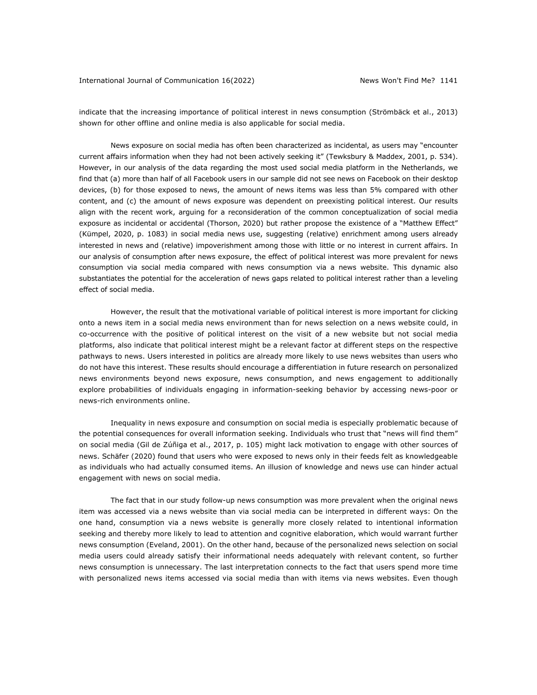indicate that the increasing importance of political interest in news consumption (Strömbäck et al., 2013) shown for other offline and online media is also applicable for social media.

News exposure on social media has often been characterized as incidental, as users may "encounter current affairs information when they had not been actively seeking it" (Tewksbury & Maddex, 2001, p. 534). However, in our analysis of the data regarding the most used social media platform in the Netherlands, we find that (a) more than half of all Facebook users in our sample did not see news on Facebook on their desktop devices, (b) for those exposed to news, the amount of news items was less than 5% compared with other content, and (c) the amount of news exposure was dependent on preexisting political interest. Our results align with the recent work, arguing for a reconsideration of the common conceptualization of social media exposure as incidental or accidental (Thorson, 2020) but rather propose the existence of a "Matthew Effect" (Kümpel, 2020, p. 1083) in social media news use, suggesting (relative) enrichment among users already interested in news and (relative) impoverishment among those with little or no interest in current affairs. In our analysis of consumption after news exposure, the effect of political interest was more prevalent for news consumption via social media compared with news consumption via a news website. This dynamic also substantiates the potential for the acceleration of news gaps related to political interest rather than a leveling effect of social media.

However, the result that the motivational variable of political interest is more important for clicking onto a news item in a social media news environment than for news selection on a news website could, in co-occurrence with the positive of political interest on the visit of a new website but not social media platforms, also indicate that political interest might be a relevant factor at different steps on the respective pathways to news. Users interested in politics are already more likely to use news websites than users who do not have this interest. These results should encourage a differentiation in future research on personalized news environments beyond news exposure, news consumption, and news engagement to additionally explore probabilities of individuals engaging in information-seeking behavior by accessing news-poor or news-rich environments online.

Inequality in news exposure and consumption on social media is especially problematic because of the potential consequences for overall information seeking. Individuals who trust that "news will find them" on social media (Gil de Zúñiga et al., 2017, p. 105) might lack motivation to engage with other sources of news. Schäfer (2020) found that users who were exposed to news only in their feeds felt as knowledgeable as individuals who had actually consumed items. An illusion of knowledge and news use can hinder actual engagement with news on social media.

The fact that in our study follow-up news consumption was more prevalent when the original news item was accessed via a news website than via social media can be interpreted in different ways: On the one hand, consumption via a news website is generally more closely related to intentional information seeking and thereby more likely to lead to attention and cognitive elaboration, which would warrant further news consumption (Eveland, 2001). On the other hand, because of the personalized news selection on social media users could already satisfy their informational needs adequately with relevant content, so further news consumption is unnecessary. The last interpretation connects to the fact that users spend more time with personalized news items accessed via social media than with items via news websites. Even though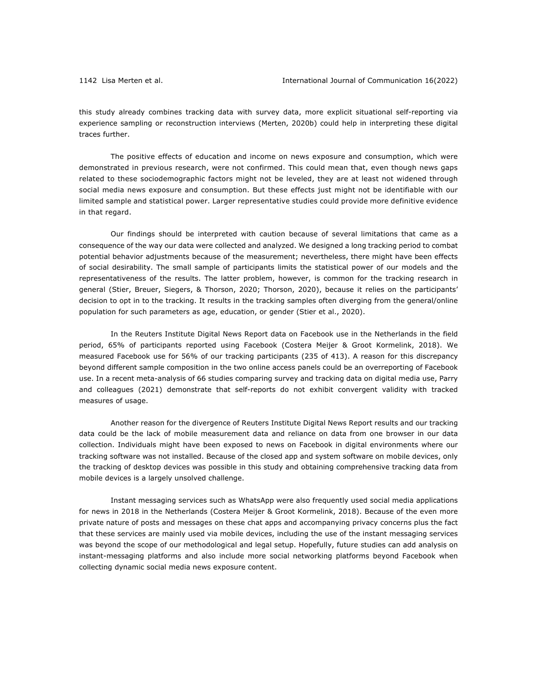this study already combines tracking data with survey data, more explicit situational self-reporting via experience sampling or reconstruction interviews (Merten, 2020b) could help in interpreting these digital traces further.

The positive effects of education and income on news exposure and consumption, which were demonstrated in previous research, were not confirmed. This could mean that, even though news gaps related to these sociodemographic factors might not be leveled, they are at least not widened through social media news exposure and consumption. But these effects just might not be identifiable with our limited sample and statistical power. Larger representative studies could provide more definitive evidence in that regard.

Our findings should be interpreted with caution because of several limitations that came as a consequence of the way our data were collected and analyzed. We designed a long tracking period to combat potential behavior adjustments because of the measurement; nevertheless, there might have been effects of social desirability. The small sample of participants limits the statistical power of our models and the representativeness of the results. The latter problem, however, is common for the tracking research in general (Stier, Breuer, Siegers, & Thorson, 2020; Thorson, 2020), because it relies on the participants' decision to opt in to the tracking. It results in the tracking samples often diverging from the general/online population for such parameters as age, education, or gender (Stier et al., 2020).

In the Reuters Institute Digital News Report data on Facebook use in the Netherlands in the field period, 65% of participants reported using Facebook (Costera Meijer & Groot Kormelink, 2018). We measured Facebook use for 56% of our tracking participants (235 of 413). A reason for this discrepancy beyond different sample composition in the two online access panels could be an overreporting of Facebook use. In a recent meta-analysis of 66 studies comparing survey and tracking data on digital media use, Parry and colleagues (2021) demonstrate that self-reports do not exhibit convergent validity with tracked measures of usage.

Another reason for the divergence of Reuters Institute Digital News Report results and our tracking data could be the lack of mobile measurement data and reliance on data from one browser in our data collection. Individuals might have been exposed to news on Facebook in digital environments where our tracking software was not installed. Because of the closed app and system software on mobile devices, only the tracking of desktop devices was possible in this study and obtaining comprehensive tracking data from mobile devices is a largely unsolved challenge.

Instant messaging services such as WhatsApp were also frequently used social media applications for news in 2018 in the Netherlands (Costera Meijer & Groot Kormelink, 2018). Because of the even more private nature of posts and messages on these chat apps and accompanying privacy concerns plus the fact that these services are mainly used via mobile devices, including the use of the instant messaging services was beyond the scope of our methodological and legal setup. Hopefully, future studies can add analysis on instant-messaging platforms and also include more social networking platforms beyond Facebook when collecting dynamic social media news exposure content.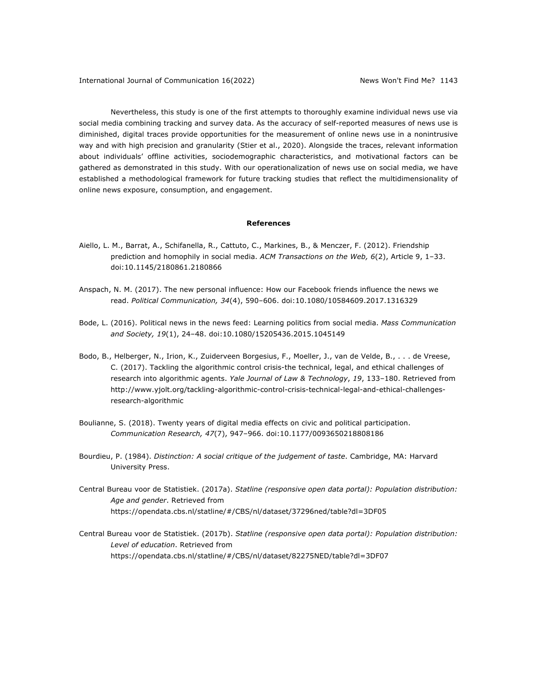Nevertheless, this study is one of the first attempts to thoroughly examine individual news use via social media combining tracking and survey data. As the accuracy of self-reported measures of news use is diminished, digital traces provide opportunities for the measurement of online news use in a nonintrusive way and with high precision and granularity (Stier et al., 2020). Alongside the traces, relevant information about individuals' offline activities, sociodemographic characteristics, and motivational factors can be gathered as demonstrated in this study. With our operationalization of news use on social media, we have established a methodological framework for future tracking studies that reflect the multidimensionality of online news exposure, consumption, and engagement.

#### **References**

- Aiello, L. M., Barrat, A., Schifanella, R., Cattuto, C., Markines, B., & Menczer, F. (2012). Friendship prediction and homophily in social media. *ACM Transactions on the Web, 6*(2), Article 9, 1–33. doi:10.1145/2180861.2180866
- Anspach, N. M. (2017). The new personal influence: How our Facebook friends influence the news we read. *Political Communication, 34*(4), 590–606. doi:10.1080/10584609.2017.1316329
- Bode, L. (2016). Political news in the news feed: Learning politics from social media. *Mass Communication and Society, 19*(1), 24–48. doi:10.1080/15205436.2015.1045149
- Bodo, B., Helberger, N., Irion, K., Zuiderveen Borgesius, F., Moeller, J., van de Velde, B., . . . de Vreese, C. (2017). Tackling the algorithmic control crisis-the technical, legal, and ethical challenges of research into algorithmic agents. *Yale Journal of Law & Technology*, *19*, 133–180. Retrieved from http://www.yjolt.org/tackling-algorithmic-control-crisis-technical-legal-and-ethical-challengesresearch-algorithmic
- Boulianne, S. (2018). Twenty years of digital media effects on civic and political participation. *Communication Research, 47*(7), 947–966. doi:10.1177/0093650218808186
- Bourdieu, P. (1984). *Distinction: A social critique of the judgement of taste*. Cambridge, MA: Harvard University Press.
- Central Bureau voor de Statistiek. (2017a). *Statline (responsive open data portal): Population distribution: Age and gender*. Retrieved from https://opendata.cbs.nl/statline/#/CBS/nl/dataset/37296ned/table?dl=3DF05
- Central Bureau voor de Statistiek. (2017b). *Statline (responsive open data portal): Population distribution: Level of education*. Retrieved from https://opendata.cbs.nl/statline/#/CBS/nl/dataset/82275NED/table?dl=3DF07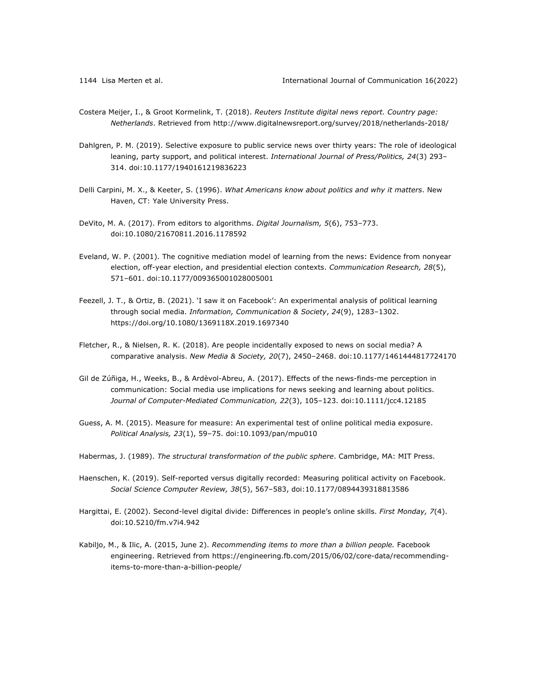- Costera Meijer, I., & Groot Kormelink, T. (2018). *Reuters Institute digital news report. Country page: Netherlands*. Retrieved from http://www.digitalnewsreport.org/survey/2018/netherlands-2018/
- Dahlgren, P. M. (2019). Selective exposure to public service news over thirty years: The role of ideological leaning, party support, and political interest. *International Journal of Press/Politics, 24*(3) 293– 314. doi:10.1177/1940161219836223
- Delli Carpini, M. X., & Keeter, S. (1996). *What Americans know about politics and why it matters*. New Haven, CT: Yale University Press.
- DeVito, M. A. (2017). From editors to algorithms. *Digital Journalism, 5*(6), 753–773. doi:10.1080/21670811.2016.1178592
- Eveland, W. P. (2001). The cognitive mediation model of learning from the news: Evidence from nonyear election, off-year election, and presidential election contexts. *Communication Research, 28*(5), 571–601. doi:10.1177/009365001028005001
- Feezell, J. T., & Ortiz, B. (2021). 'I saw it on Facebook': An experimental analysis of political learning through social media. *Information, Communication & Society*, *24*(9), 1283–1302. https://doi.org/10.1080/1369118X.2019.1697340
- Fletcher, R., & Nielsen, R. K. (2018). Are people incidentally exposed to news on social media? A comparative analysis. *New Media & Society, 20*(7), 2450–2468. doi:10.1177/1461444817724170
- Gil de Zúñiga, H., Weeks, B., & Ardèvol-Abreu, A. (2017). Effects of the news-finds-me perception in communication: Social media use implications for news seeking and learning about politics. *Journal of Computer-Mediated Communication, 22*(3), 105–123. doi:10.1111/jcc4.12185
- Guess, A. M. (2015). Measure for measure: An experimental test of online political media exposure. *Political Analysis, 23*(1), 59–75. doi:10.1093/pan/mpu010
- Habermas, J. (1989). *The structural transformation of the public sphere*. Cambridge, MA: MIT Press.
- Haenschen, K. (2019). Self-reported versus digitally recorded: Measuring political activity on Facebook. *Social Science Computer Review, 38*(5), 567–583, doi:10.1177/0894439318813586
- Hargittai, E. (2002). Second-level digital divide: Differences in people's online skills. *First Monday, 7*(4). doi:10.5210/fm.v7i4.942
- Kabiljo, M., & Ilic, A. (2015, June 2). *Recommending items to more than a billion people.* Facebook engineering. Retrieved from https://engineering.fb.com/2015/06/02/core-data/recommendingitems-to-more-than-a-billion-people/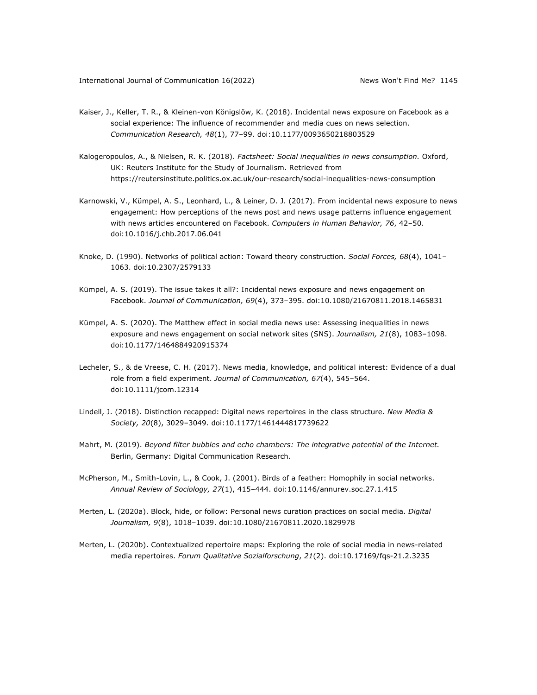- Kaiser, J., Keller, T. R., & Kleinen-von Königslöw, K. (2018). Incidental news exposure on Facebook as a social experience: The influence of recommender and media cues on news selection. *Communication Research, 48*(1), 77–99. doi:10.1177/0093650218803529
- Kalogeropoulos, A., & Nielsen, R. K. (2018). *Factsheet: Social inequalities in news consumption.* Oxford, UK: Reuters Institute for the Study of Journalism. Retrieved from https://reutersinstitute.politics.ox.ac.uk/our-research/social-inequalities-news-consumption
- Karnowski, V., Kümpel, A. S., Leonhard, L., & Leiner, D. J. (2017). From incidental news exposure to news engagement: How perceptions of the news post and news usage patterns influence engagement with news articles encountered on Facebook. *Computers in Human Behavior, 76*, 42–50. doi:10.1016/j.chb.2017.06.041
- Knoke, D. (1990). Networks of political action: Toward theory construction. *Social Forces, 68*(4), 1041– 1063. doi:10.2307/2579133
- Kümpel, A. S. (2019). The issue takes it all?: Incidental news exposure and news engagement on Facebook. *Journal of Communication, 69*(4), 373–395. doi:10.1080/21670811.2018.1465831
- Kümpel, A. S. (2020). The Matthew effect in social media news use: Assessing inequalities in news exposure and news engagement on social network sites (SNS). *Journalism, 21*(8), 1083–1098. doi:10.1177/1464884920915374
- Lecheler, S., & de Vreese, C. H. (2017). News media, knowledge, and political interest: Evidence of a dual role from a field experiment. *Journal of Communication, 67*(4), 545–564. doi:10.1111/jcom.12314
- Lindell, J. (2018). Distinction recapped: Digital news repertoires in the class structure. *New Media & Society, 20*(8), 3029–3049. doi:10.1177/1461444817739622
- Mahrt, M. (2019). *Beyond filter bubbles and echo chambers: The integrative potential of the Internet.* Berlin, Germany: Digital Communication Research.
- McPherson, M., Smith-Lovin, L., & Cook, J. (2001). Birds of a feather: Homophily in social networks. *Annual Review of Sociology, 27*(1), 415–444. doi:10.1146/annurev.soc.27.1.415
- Merten, L. (2020a). Block, hide, or follow: Personal news curation practices on social media. *Digital Journalism, 9*(8), 1018–1039. doi:10.1080/21670811.2020.1829978
- Merten, L. (2020b). Contextualized repertoire maps: Exploring the role of social media in news-related media repertoires. *Forum Qualitative Sozialforschung*, *21*(2). doi:10.17169/fqs-21.2.3235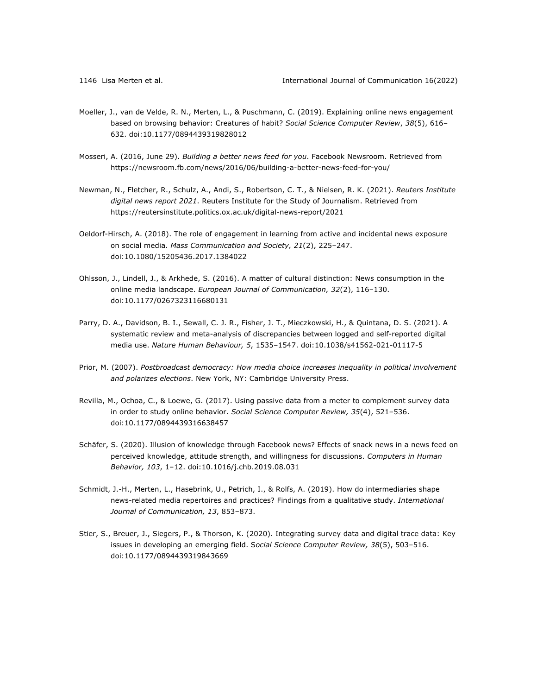- Moeller, J., van de Velde, R. N., Merten, L., & Puschmann, C. (2019). Explaining online news engagement based on browsing behavior: Creatures of habit? *Social Science Computer Review*, *38*(5), 616– 632. doi:10.1177/0894439319828012
- Mosseri, A. (2016, June 29). *Building a better news feed for you*. Facebook Newsroom. Retrieved from https://newsroom.fb.com/news/2016/06/building-a-better-news-feed-for-you/
- Newman, N., Fletcher, R., Schulz, A., Andi, S., Robertson, C. T., & Nielsen, R. K. (2021). *Reuters Institute digital news report 2021*. Reuters Institute for the Study of Journalism. Retrieved from https://reutersinstitute.politics.ox.ac.uk/digital-news-report/2021
- Oeldorf-Hirsch, A. (2018). The role of engagement in learning from active and incidental news exposure on social media. *Mass Communication and Society, 21*(2), 225–247. doi:10.1080/15205436.2017.1384022
- Ohlsson, J., Lindell, J., & Arkhede, S. (2016). A matter of cultural distinction: News consumption in the online media landscape. *European Journal of Communication, 32*(2), 116–130. doi:10.1177/0267323116680131
- Parry, D. A., Davidson, B. I., Sewall, C. J. R., Fisher, J. T., Mieczkowski, H., & Quintana, D. S. (2021). A systematic review and meta-analysis of discrepancies between logged and self-reported digital media use. *Nature Human Behaviour, 5*, 1535–1547. doi:10.1038/s41562-021-01117-5
- Prior, M. (2007). *Postbroadcast democracy: How media choice increases inequality in political involvement and polarizes elections*. New York, NY: Cambridge University Press.
- Revilla, M., Ochoa, C., & Loewe, G. (2017). Using passive data from a meter to complement survey data in order to study online behavior. *Social Science Computer Review, 35*(4), 521–536. doi:10.1177/0894439316638457
- Schäfer, S. (2020). Illusion of knowledge through Facebook news? Effects of snack news in a news feed on perceived knowledge, attitude strength, and willingness for discussions. *Computers in Human Behavior, 103*, 1–12. doi:10.1016/j.chb.2019.08.031
- Schmidt, J.-H., Merten, L., Hasebrink, U., Petrich, I., & Rolfs, A. (2019). How do intermediaries shape news-related media repertoires and practices? Findings from a qualitative study. *International Journal of Communication, 13*, 853–873.
- Stier, S., Breuer, J., Siegers, P., & Thorson, K. (2020). Integrating survey data and digital trace data: Key issues in developing an emerging field. S*ocial Science Computer Review, 38*(5), 503–516. doi:10.1177/0894439319843669